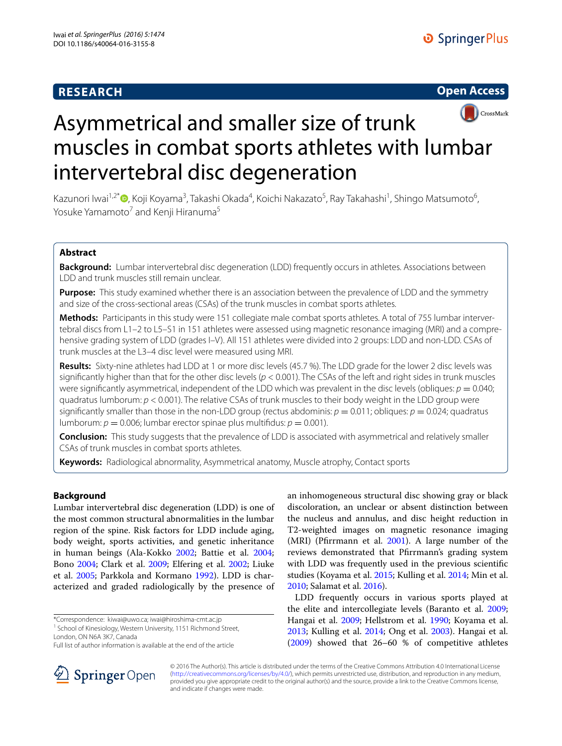# **RESEARCH**





# Asymmetrical and smaller size of trunk muscles in combat sports athletes with lumbar intervertebral disc degeneration

Kazunori Iwai<sup>1,2\*</sup>®[,](http://orcid.org/0000-0001-8353-3520) Koji Koyama<sup>3</sup>, Takashi Okada<sup>4</sup>, Koichi Nakazato<sup>5</sup>, Ray Takahashi<sup>1</sup>, Shingo Matsumoto<sup>6</sup>, Yosuke Yamamoto<sup>7</sup> and Kenji Hiranuma<sup>5</sup>

# **Abstract**

**Background:** Lumbar intervertebral disc degeneration (LDD) frequently occurs in athletes. Associations between LDD and trunk muscles still remain unclear.

**Purpose:** This study examined whether there is an association between the prevalence of LDD and the symmetry and size of the cross-sectional areas (CSAs) of the trunk muscles in combat sports athletes.

**Methods:** Participants in this study were 151 collegiate male combat sports athletes. A total of 755 lumbar intervertebral discs from L1–2 to L5–S1 in 151 athletes were assessed using magnetic resonance imaging (MRI) and a comprehensive grading system of LDD (grades I–V). All 151 athletes were divided into 2 groups: LDD and non-LDD. CSAs of trunk muscles at the L3–4 disc level were measured using MRI.

**Results:** Sixty-nine athletes had LDD at 1 or more disc levels (45.7 %). The LDD grade for the lower 2 disc levels was significantly higher than that for the other disc levels (*p* < 0.001). The CSAs of the left and right sides in trunk muscles were significantly asymmetrical, independent of the LDD which was prevalent in the disc levels (obliques:  $p = 0.040$ ; quadratus lumborum: *p* < 0.001). The relative CSAs of trunk muscles to their body weight in the LDD group were significantly smaller than those in the non-LDD group (rectus abdominis:  $p = 0.011$ ; obliques:  $p = 0.024$ ; quadratus lumborum:  $p = 0.006$ ; lumbar erector spinae plus multifidus:  $p = 0.001$ ).

**Conclusion:** This study suggests that the prevalence of LDD is associated with asymmetrical and relatively smaller CSAs of trunk muscles in combat sports athletes.

**Keywords:** Radiological abnormality, Asymmetrical anatomy, Muscle atrophy, Contact sports

# **Background**

Lumbar intervertebral disc degeneration (LDD) is one of the most common structural abnormalities in the lumbar region of the spine. Risk factors for LDD include aging, body weight, sports activities, and genetic inheritance in human beings (Ala-Kokko [2002](#page-6-0); Battie et al. [2004](#page-7-0); Bono [2004;](#page-7-1) Clark et al. [2009](#page-7-2); Elfering et al. [2002;](#page-7-3) Liuke et al. [2005;](#page-7-4) Parkkola and Kormano [1992\)](#page-7-5). LDD is characterized and graded radiologically by the presence of

\*Correspondence: kiwai@uwo.ca; iwai@hiroshima-cmt.ac.jp 1

<sup>1</sup> School of Kinesiology, Western University, 1151 Richmond Street,

London, ON N6A 3K7, Canada



LDD frequently occurs in various sports played at the elite and intercollegiate levels (Baranto et al. [2009](#page-6-1); Hangai et al. [2009](#page-7-11); Hellstrom et al. [1990](#page-7-12); Koyama et al. [2013](#page-7-13); Kulling et al. [2014](#page-7-8); Ong et al. [2003\)](#page-7-14). Hangai et al. ([2009\)](#page-7-11) showed that 26–60 % of competitive athletes



© 2016 The Author(s). This article is distributed under the terms of the Creative Commons Attribution 4.0 International License [\(http://creativecommons.org/licenses/by/4.0/\)](http://creativecommons.org/licenses/by/4.0/), which permits unrestricted use, distribution, and reproduction in any medium, provided you give appropriate credit to the original author(s) and the source, provide a link to the Creative Commons license, and indicate if changes were made.

Full list of author information is available at the end of the article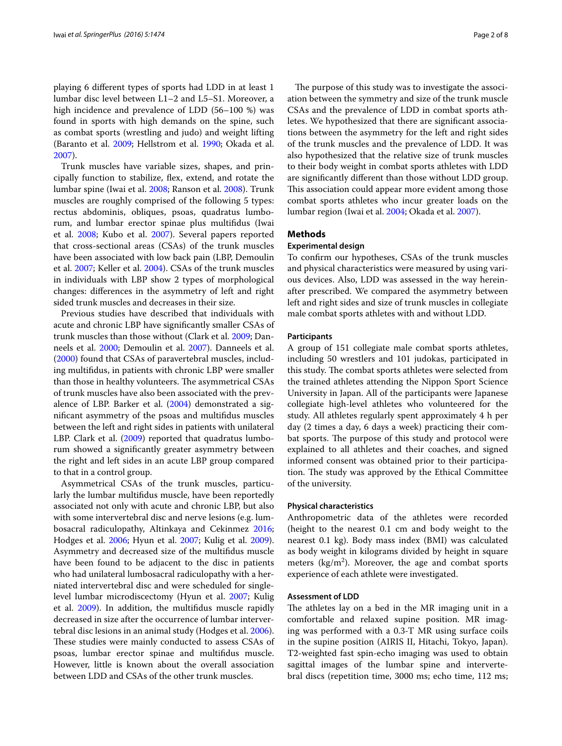playing 6 different types of sports had LDD in at least 1 lumbar disc level between L1–2 and L5–S1. Moreover, a high incidence and prevalence of LDD (56-100 %) was found in sports with high demands on the spine, such as combat sports (wrestling and judo) and weight lifting (Baranto et al. [2009;](#page-6-1) Hellstrom et al. [1990;](#page-7-12) Okada et al. [2007](#page-7-15)).

Trunk muscles have variable sizes, shapes, and principally function to stabilize, flex, extend, and rotate the lumbar spine (Iwai et al. [2008;](#page-7-16) Ranson et al. [2008](#page-7-17)). Trunk muscles are roughly comprised of the following 5 types: rectus abdominis, obliques, psoas, quadratus lumborum, and lumbar erector spinae plus multifidus (Iwai et al. [2008;](#page-7-16) Kubo et al. [2007](#page-7-18)). Several papers reported that cross-sectional areas (CSAs) of the trunk muscles have been associated with low back pain (LBP, Demoulin et al. [2007;](#page-7-19) Keller et al. [2004\)](#page-7-20). CSAs of the trunk muscles in individuals with LBP show 2 types of morphological changes: differences in the asymmetry of left and right sided trunk muscles and decreases in their size.

Previous studies have described that individuals with acute and chronic LBP have significantly smaller CSAs of trunk muscles than those without (Clark et al. [2009](#page-7-2); Danneels et al. [2000;](#page-7-21) Demoulin et al. [2007](#page-7-19)). Danneels et al. ([2000\)](#page-7-21) found that CSAs of paravertebral muscles, including multifidus, in patients with chronic LBP were smaller than those in healthy volunteers. The asymmetrical CSAs of trunk muscles have also been associated with the prevalence of LBP. Barker et al. ([2004](#page-7-22)) demonstrated a significant asymmetry of the psoas and multifidus muscles between the left and right sides in patients with unilateral LBP. Clark et al. [\(2009\)](#page-7-2) reported that quadratus lumborum showed a significantly greater asymmetry between the right and left sides in an acute LBP group compared to that in a control group.

Asymmetrical CSAs of the trunk muscles, particularly the lumbar multifidus muscle, have been reportedly associated not only with acute and chronic LBP, but also with some intervertebral disc and nerve lesions (e.g. lumbosacral radiculopathy, Altinkaya and Cekinmez [2016](#page-6-2); Hodges et al. [2006;](#page-7-23) Hyun et al. [2007;](#page-7-24) Kulig et al. [2009](#page-7-25)). Asymmetry and decreased size of the multifidus muscle have been found to be adjacent to the disc in patients who had unilateral lumbosacral radiculopathy with a herniated intervertebral disc and were scheduled for singlelevel lumbar microdiscectomy (Hyun et al. [2007;](#page-7-24) Kulig et al. [2009](#page-7-25)). In addition, the multifidus muscle rapidly decreased in size after the occurrence of lumbar intervertebral disc lesions in an animal study (Hodges et al. [2006](#page-7-23)). These studies were mainly conducted to assess CSAs of psoas, lumbar erector spinae and multifidus muscle. However, little is known about the overall association between LDD and CSAs of the other trunk muscles.

The purpose of this study was to investigate the association between the symmetry and size of the trunk muscle CSAs and the prevalence of LDD in combat sports athletes. We hypothesized that there are significant associations between the asymmetry for the left and right sides of the trunk muscles and the prevalence of LDD. It was also hypothesized that the relative size of trunk muscles to their body weight in combat sports athletes with LDD are significantly different than those without LDD group. This association could appear more evident among those combat sports athletes who incur greater loads on the lumbar region (Iwai et al. [2004](#page-7-26); Okada et al. [2007](#page-7-15)).

## **Methods**

## **Experimental design**

To confirm our hypotheses, CSAs of the trunk muscles and physical characteristics were measured by using various devices. Also, LDD was assessed in the way hereinafter prescribed. We compared the asymmetry between left and right sides and size of trunk muscles in collegiate male combat sports athletes with and without LDD.

#### **Participants**

A group of 151 collegiate male combat sports athletes, including 50 wrestlers and 101 judokas, participated in this study. The combat sports athletes were selected from the trained athletes attending the Nippon Sport Science University in Japan. All of the participants were Japanese collegiate high-level athletes who volunteered for the study. All athletes regularly spent approximately 4 h per day (2 times a day, 6 days a week) practicing their combat sports. The purpose of this study and protocol were explained to all athletes and their coaches, and signed informed consent was obtained prior to their participation. The study was approved by the Ethical Committee of the university.

### **Physical characteristics**

Anthropometric data of the athletes were recorded (height to the nearest 0.1 cm and body weight to the nearest 0.1 kg). Body mass index (BMI) was calculated as body weight in kilograms divided by height in square meters  $(kg/m<sup>2</sup>)$ . Moreover, the age and combat sports experience of each athlete were investigated.

## **Assessment of LDD**

The athletes lay on a bed in the MR imaging unit in a comfortable and relaxed supine position. MR imaging was performed with a 0.3-T MR using surface coils in the supine position (AIRIS II, Hitachi, Tokyo, Japan). T2-weighted fast spin-echo imaging was used to obtain sagittal images of the lumbar spine and intervertebral discs (repetition time, 3000 ms; echo time, 112 ms;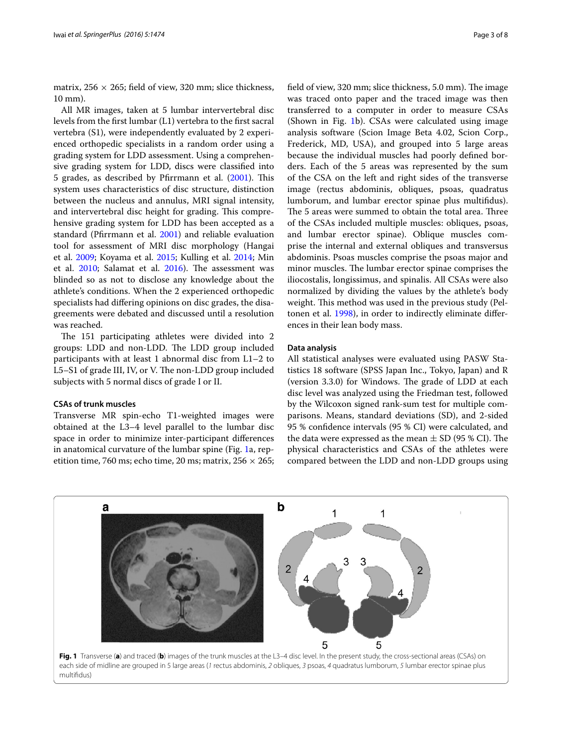matrix,  $256 \times 265$ ; field of view, 320 mm; slice thickness, 10 mm).

All MR images, taken at 5 lumbar intervertebral disc levels from the first lumbar (L1) vertebra to the first sacral vertebra (S1), were independently evaluated by 2 experienced orthopedic specialists in a random order using a grading system for LDD assessment. Using a comprehensive grading system for LDD, discs were classified into 5 grades, as described by Pfirrmann et al. ([2001\)](#page-7-6). This system uses characteristics of disc structure, distinction between the nucleus and annulus, MRI signal intensity, and intervertebral disc height for grading. This comprehensive grading system for LDD has been accepted as a standard (Pfirrmann et al. [2001\)](#page-7-6) and reliable evaluation tool for assessment of MRI disc morphology (Hangai et al. [2009](#page-7-11); Koyama et al. [2015;](#page-7-7) Kulling et al. [2014;](#page-7-8) Min et al. [2010](#page-7-9); Salamat et al. [2016](#page-7-10)). The assessment was blinded so as not to disclose any knowledge about the athlete's conditions. When the 2 experienced orthopedic specialists had differing opinions on disc grades, the disagreements were debated and discussed until a resolution was reached.

The 151 participating athletes were divided into 2 groups: LDD and non-LDD. The LDD group included participants with at least 1 abnormal disc from L1–2 to L5–S1 of grade III, IV, or V. The non-LDD group included subjects with 5 normal discs of grade I or II.

## **CSAs of trunk muscles**

Transverse MR spin-echo T1-weighted images were obtained at the L3–4 level parallel to the lumbar disc space in order to minimize inter-participant differences in anatomical curvature of the lumbar spine (Fig. [1](#page-2-0)a, repetition time, 760 ms; echo time, 20 ms; matrix,  $256 \times 265$ ; field of view, 320 mm; slice thickness, 5.0 mm). The image was traced onto paper and the traced image was then transferred to a computer in order to measure CSAs (Shown in Fig. [1b](#page-2-0)). CSAs were calculated using image analysis software (Scion Image Beta 4.02, Scion Corp., Frederick, MD, USA), and grouped into 5 large areas because the individual muscles had poorly defined borders. Each of the 5 areas was represented by the sum of the CSA on the left and right sides of the transverse image (rectus abdominis, obliques, psoas, quadratus lumborum, and lumbar erector spinae plus multifidus). The 5 areas were summed to obtain the total area. Three of the CSAs included multiple muscles: obliques, psoas, and lumbar erector spinae). Oblique muscles comprise the internal and external obliques and transversus abdominis. Psoas muscles comprise the psoas major and minor muscles. The lumbar erector spinae comprises the iliocostalis, longissimus, and spinalis. All CSAs were also normalized by dividing the values by the athlete's body weight. This method was used in the previous study (Peltonen et al. [1998](#page-7-27)), in order to indirectly eliminate differences in their lean body mass.

## **Data analysis**

All statistical analyses were evaluated using PASW Statistics 18 software (SPSS Japan Inc., Tokyo, Japan) and R (version 3.3.0) for Windows. The grade of LDD at each disc level was analyzed using the Friedman test, followed by the Wilcoxon signed rank-sum test for multiple comparisons. Means, standard deviations (SD), and 2-sided 95 % confidence intervals (95 % CI) were calculated, and the data were expressed as the mean  $\pm$  SD (95 % CI). The physical characteristics and CSAs of the athletes were compared between the LDD and non-LDD groups using

<span id="page-2-0"></span>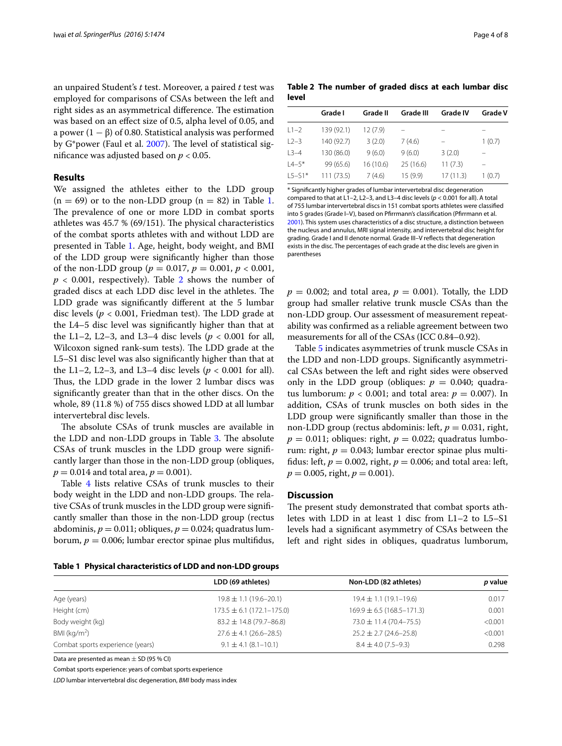an unpaired Student's *t* test. Moreover, a paired *t* test was employed for comparisons of CSAs between the left and right sides as an asymmetrical difference. The estimation was based on an effect size of 0.5, alpha level of 0.05, and a power  $(1 - \beta)$  of 0.80. Statistical analysis was performed by G\*power (Faul et al. [2007\)](#page-7-28). The level of statistical significance was adjusted based on *p* < 0.05.

## **Results**

We assigned the athletes either to the LDD group  $(n = 69)$  or to the non-LDD group  $(n = 82)$  in Table [1](#page-3-0). The prevalence of one or more LDD in combat sports athletes was 45.7 % (69/151). The physical characteristics of the combat sports athletes with and without LDD are presented in Table [1.](#page-3-0) Age, height, body weight, and BMI of the LDD group were significantly higher than those of the non-LDD group ( $p = 0.017$ ,  $p = 0.001$ ,  $p < 0.001$ ,  $p < 0.001$ , respectively). Table [2](#page-3-1) shows the number of graded discs at each LDD disc level in the athletes. The LDD grade was significantly different at the 5 lumbar disc levels (*p* < 0.001, Friedman test). The LDD grade at the L4–5 disc level was significantly higher than that at the L1–2, L2–3, and L3–4 disc levels ( $p < 0.001$  for all, Wilcoxon signed rank-sum tests). The LDD grade at the L5–S1 disc level was also significantly higher than that at the L1–2, L2–3, and L3–4 disc levels ( $p < 0.001$  for all). Thus, the LDD grade in the lower 2 lumbar discs was significantly greater than that in the other discs. On the whole, 89 (11.8 %) of 755 discs showed LDD at all lumbar intervertebral disc levels.

The absolute CSAs of trunk muscles are available in the LDD and non-LDD groups in Table [3.](#page-4-0) The absolute CSAs of trunk muscles in the LDD group were significantly larger than those in the non-LDD group (obliques,  $p = 0.014$  and total area,  $p = 0.001$ ).

Table [4](#page-4-1) lists relative CSAs of trunk muscles to their body weight in the LDD and non-LDD groups. The relative CSAs of trunk muscles in the LDD group were significantly smaller than those in the non-LDD group (rectus abdominis,  $p = 0.011$ ; obliques,  $p = 0.024$ ; quadratus lumborum,  $p = 0.006$ ; lumbar erector spinae plus multifidus,

<span id="page-3-1"></span>**Table 2 The number of graded discs at each lumbar disc level**

|            | Grade I    | Grade II | Grade III | <b>Grade IV</b> | <b>Grade V</b> |
|------------|------------|----------|-----------|-----------------|----------------|
| $L1-2$     | 139 (92.1) | 12 (7.9) |           |                 |                |
| $L2 - 3$   | 140 (92.7) | 3(2.0)   | 7(4.6)    |                 | 1(0.7)         |
| $L3-4$     | 130 (86.0) | 9(6.0)   | 9(6.0)    | 3(2.0)          |                |
| $L4 - 5*$  | 99 (65.6)  | 16(10.6) | 25(16.6)  | 11(7.3)         |                |
| $L5 - S1*$ | 111(73.5)  | 7(4.6)   | 15(9.9)   | 17(11.3)        | 1(0.7)         |
|            |            |          |           |                 |                |

\* Significantly higher grades of lumbar intervertebral disc degeneration compared to that at L1–2, L2–3, and L3–4 disc levels (*p* < 0.001 for all). A total of 755 lumbar intervertebral discs in 151 combat sports athletes were classified into 5 grades (Grade I–V), based on Pfirrmann's classification (Pfirrmann et al. [2001](#page-7-6)). This system uses characteristics of a disc structure, a distinction between the nucleus and annulus, MRI signal intensity, and intervertebral disc height for grading. Grade I and II denote normal. Grade III–V reflects that degeneration exists in the disc. The percentages of each grade at the disc levels are given in parentheses

 $p = 0.002$ ; and total area,  $p = 0.001$ ). Totally, the LDD group had smaller relative trunk muscle CSAs than the non-LDD group. Our assessment of measurement repeatability was confirmed as a reliable agreement between two measurements for all of the CSAs (ICC 0.84–0.92).

Table [5](#page-5-0) indicates asymmetries of trunk muscle CSAs in the LDD and non-LDD groups. Significantly asymmetrical CSAs between the left and right sides were observed only in the LDD group (obliques:  $p = 0.040$ ; quadratus lumborum:  $p < 0.001$ ; and total area:  $p = 0.007$ ). In addition, CSAs of trunk muscles on both sides in the LDD group were significantly smaller than those in the non-LDD group (rectus abdominis: left, *p* = 0.031, right,  $p = 0.011$ ; obliques: right,  $p = 0.022$ ; quadratus lumborum: right,  $p = 0.043$ ; lumbar erector spinae plus multifidus: left,  $p = 0.002$ , right,  $p = 0.006$ ; and total area: left,  $p = 0.005$ , right,  $p = 0.001$ ).

# **Discussion**

The present study demonstrated that combat sports athletes with LDD in at least 1 disc from L1–2 to L5–S1 levels had a significant asymmetry of CSAs between the left and right sides in obliques, quadratus lumborum,

<span id="page-3-0"></span>

|  |  |  |  | Table 1 Physical characteristics of LDD and non-LDD groups |  |  |  |  |  |  |
|--|--|--|--|------------------------------------------------------------|--|--|--|--|--|--|
|--|--|--|--|------------------------------------------------------------|--|--|--|--|--|--|

|                                  | LDD (69 athletes)               | Non-LDD (82 athletes)           | p value |
|----------------------------------|---------------------------------|---------------------------------|---------|
| Age (years)                      | $19.8 \pm 1.1 (19.6 - 20.1)$    | $19.4 \pm 1.1 (19.1 - 19.6)$    | 0.017   |
| Height (cm)                      | $173.5 \pm 6.1 (172.1 - 175.0)$ | $169.9 \pm 6.5 (168.5 - 171.3)$ | 0.001   |
| Body weight (kg)                 | $83.2 \pm 14.8$ (79.7-86.8)     | $73.0 \pm 11.4 (70.4 - 75.5)$   | < 0.001 |
| BMI ( $\text{kg/m}^2$ )          | $27.6 \pm 4.1 (26.6 - 28.5)$    | $25.2 \pm 2.7 (24.6 - 25.8)$    | < 0.001 |
| Combat sports experience (years) | $9.1 \pm 4.1 (8.1 - 10.1)$      | $8.4 \pm 4.0$ (7.5-9.3)         | 0.298   |
|                                  |                                 |                                 |         |

Data are presented as mean  $\pm$  SD (95 % CI)

Combat sports experience: years of combat sports experience

*LDD* lumbar intervertebral disc degeneration, *BMI* body mass index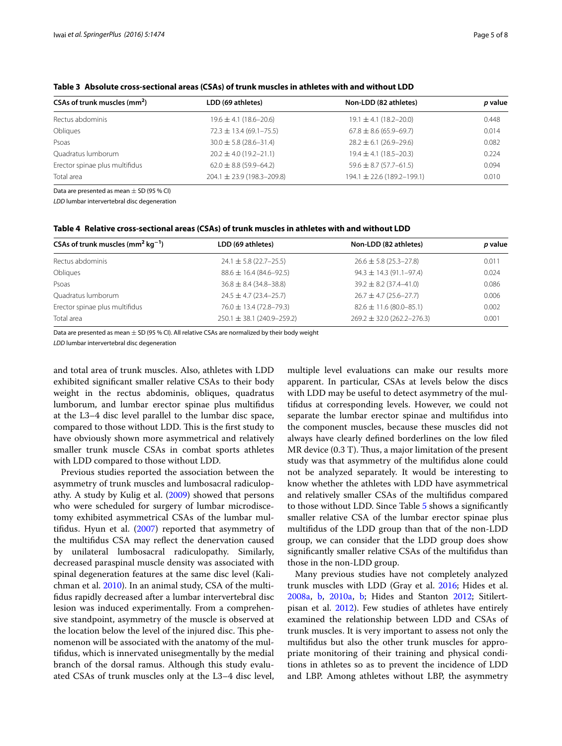<span id="page-4-0"></span>

| Table 3 Absolute cross-sectional areas (CSAs) of trunk muscles in athletes with and without LDD |  |
|-------------------------------------------------------------------------------------------------|--|
|                                                                                                 |  |

| CSAs of trunk muscles (mm <sup>2</sup> ) | LDD (69 athletes)              | Non-LDD (82 athletes)          | p value |
|------------------------------------------|--------------------------------|--------------------------------|---------|
| Rectus abdominis                         | $19.6 \pm 4.1 (18.6 - 20.6)$   | $19.1 \pm 4.1 (18.2 - 20.0)$   | 0.448   |
| Obliques                                 | $72.3 \pm 13.4 (69.1 - 75.5)$  | $67.8 \pm 8.6$ (65.9–69.7)     | 0.014   |
| Psoas                                    | $30.0 \pm 5.8$ (28.6-31.4)     | $28.2 \pm 6.1 (26.9 - 29.6)$   | 0.082   |
| Quadratus lumborum                       | $20.2 \pm 4.0$ (19.2-21.1)     | $19.4 \pm 4.1 (18.5 - 20.3)$   | 0.224   |
| Erector spinae plus multifidus           | $62.0 \pm 8.8$ (59.9-64.2)     | $59.6 \pm 8.7 (57.7 - 61.5)$   | 0.094   |
| Total area                               | $204.1 \pm 23.9$ (198.3-209.8) | $194.1 \pm 22.6$ (189.2-199.1) | 0.010   |

Data are presented as mean  $\pm$  SD (95 % CI)

*LDD* lumbar intervertebral disc degeneration

<span id="page-4-1"></span>

| Table 4 Relative cross-sectional areas (CSAs) of trunk muscles in athletes with and without LDD |  |  |
|-------------------------------------------------------------------------------------------------|--|--|
|-------------------------------------------------------------------------------------------------|--|--|

| CSAs of trunk muscles (mm <sup>2</sup> kg <sup>-1</sup> ) | LDD (69 athletes)                | Non-LDD (82 athletes)          | p value |
|-----------------------------------------------------------|----------------------------------|--------------------------------|---------|
| Rectus abdominis                                          | $24.1 \pm 5.8$ (22.7–25.5)       | $26.6 \pm 5.8$ (25.3–27.8)     | 0.011   |
| Obliques                                                  | $88.6 \pm 16.4 (84.6 - 92.5)$    | $94.3 \pm 14.3 (91.1 - 97.4)$  | 0.024   |
| Psoas                                                     | $36.8 \pm 8.4 (34.8 - 38.8)$     | $39.2 \pm 8.2$ (37.4-41.0)     | 0.086   |
| Ouadratus lumborum                                        | $24.5 \pm 4.7$ (23.4-25.7)       | $26.7 \pm 4.7 (25.6 - 27.7)$   | 0.006   |
| Erector spinae plus multifidus                            | $76.0 \pm 13.4 (72.8 - 79.3)$    | $82.6 \pm 11.6 (80.0 - 85.1)$  | 0.002   |
| Total area                                                | $250.1 \pm 38.1 (240.9 - 259.2)$ | $269.2 \pm 32.0$ (262.2-276.3) | 0.001   |

Data are presented as mean  $\pm$  SD (95 % CI). All relative CSAs are normalized by their body weight

*LDD* lumbar intervertebral disc degeneration

and total area of trunk muscles. Also, athletes with LDD exhibited significant smaller relative CSAs to their body weight in the rectus abdominis, obliques, quadratus lumborum, and lumbar erector spinae plus multifidus at the L3–4 disc level parallel to the lumbar disc space, compared to those without LDD. This is the first study to have obviously shown more asymmetrical and relatively smaller trunk muscle CSAs in combat sports athletes with LDD compared to those without LDD.

Previous studies reported the association between the asymmetry of trunk muscles and lumbosacral radiculopathy. A study by Kulig et al. ([2009\)](#page-7-25) showed that persons who were scheduled for surgery of lumbar microdiscetomy exhibited asymmetrical CSAs of the lumbar multifidus. Hyun et al. ([2007\)](#page-7-24) reported that asymmetry of the multifidus CSA may reflect the denervation caused by unilateral lumbosacral radiculopathy. Similarly, decreased paraspinal muscle density was associated with spinal degeneration features at the same disc level (Kalichman et al. [2010\)](#page-7-29). In an animal study, CSA of the multifidus rapidly decreased after a lumbar intervertebral disc lesion was induced experimentally. From a comprehensive standpoint, asymmetry of the muscle is observed at the location below the level of the injured disc. This phenomenon will be associated with the anatomy of the multifidus, which is innervated unisegmentally by the medial branch of the dorsal ramus. Although this study evaluated CSAs of trunk muscles only at the L3–4 disc level,

multiple level evaluations can make our results more apparent. In particular, CSAs at levels below the discs with LDD may be useful to detect asymmetry of the multifidus at corresponding levels. However, we could not separate the lumbar erector spinae and multifidus into the component muscles, because these muscles did not always have clearly defined borderlines on the low filed MR device (0.3 T). Thus, a major limitation of the present study was that asymmetry of the multifidus alone could not be analyzed separately. It would be interesting to know whether the athletes with LDD have asymmetrical and relatively smaller CSAs of the multifidus compared to those without LDD. Since Table [5](#page-5-0) shows a significantly smaller relative CSA of the lumbar erector spinae plus multifidus of the LDD group than that of the non-LDD group, we can consider that the LDD group does show significantly smaller relative CSAs of the multifidus than those in the non-LDD group.

Many previous studies have not completely analyzed trunk muscles with LDD (Gray et al. [2016](#page-7-30); Hides et al. [2008a](#page-7-31), [b,](#page-7-32) [2010a,](#page-7-33) [b](#page-7-34); Hides and Stanton [2012](#page-7-35); Sitilertpisan et al. [2012](#page-7-36)). Few studies of athletes have entirely examined the relationship between LDD and CSAs of trunk muscles. It is very important to assess not only the multifidus but also the other trunk muscles for appropriate monitoring of their training and physical conditions in athletes so as to prevent the incidence of LDD and LBP. Among athletes without LBP, the asymmetry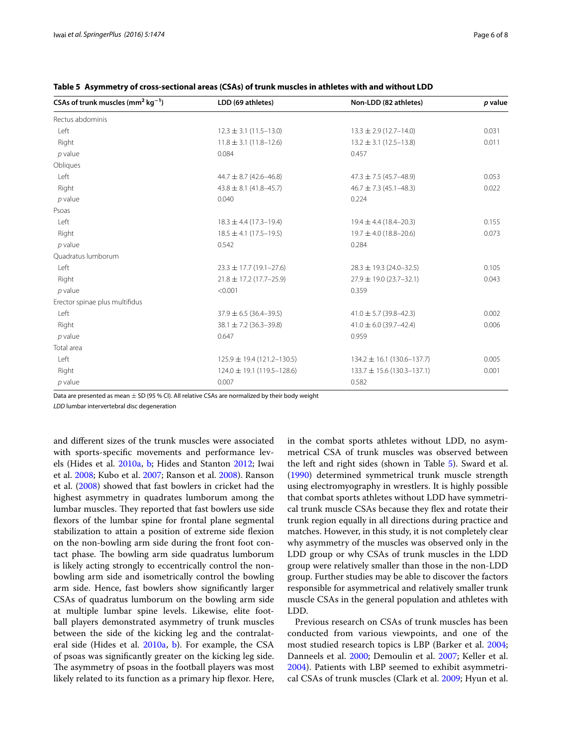| CSAs of trunk muscles (mm <sup>2</sup> kg <sup>-1</sup> ) | LDD (69 athletes)                | Non-LDD (82 athletes)            | p value |
|-----------------------------------------------------------|----------------------------------|----------------------------------|---------|
| Rectus abdominis                                          |                                  |                                  |         |
| Left                                                      | $12.3 \pm 3.1 (11.5 - 13.0)$     | $13.3 \pm 2.9$ (12.7-14.0)       | 0.031   |
| Right                                                     | $11.8 \pm 3.1 (11.8 - 12.6)$     | $13.2 \pm 3.1 (12.5 - 13.8)$     | 0.011   |
| $p$ value                                                 | 0.084                            | 0.457                            |         |
| Obliques                                                  |                                  |                                  |         |
| Left                                                      | $44.7 \pm 8.7$ (42.6-46.8)       | $47.3 \pm 7.5 (45.7 - 48.9)$     | 0.053   |
| Right                                                     | $43.8 \pm 8.1 (41.8 - 45.7)$     | $46.7 \pm 7.3 (45.1 - 48.3)$     | 0.022   |
| $p$ value                                                 | 0.040                            | 0.224                            |         |
| Psoas                                                     |                                  |                                  |         |
| Left                                                      | $18.3 \pm 4.4$ (17.3-19.4)       | $19.4 \pm 4.4$ (18.4-20.3)       | 0.155   |
| Right                                                     | $18.5 \pm 4.1 (17.5 - 19.5)$     | $19.7 \pm 4.0$ (18.8-20.6)       | 0.073   |
| $p$ value                                                 | 0.542                            | 0.284                            |         |
| Quadratus lumborum                                        |                                  |                                  |         |
| Left                                                      | $23.3 \pm 17.7$ (19.1-27.6)      | $28.3 \pm 19.3$ (24.0-32.5)      | 0.105   |
| Right                                                     | $21.8 \pm 17.2$ (17.7-25.9)      | $27.9 \pm 19.0$ (23.7-32.1)      | 0.043   |
| $p$ value                                                 | < 0.001                          | 0.359                            |         |
| Erector spinae plus multifidus                            |                                  |                                  |         |
| Left                                                      | $37.9 \pm 6.5 (36.4 - 39.5)$     | $41.0 \pm 5.7$ (39.8-42.3)       | 0.002   |
| Right                                                     | $38.1 \pm 7.2$ (36.3-39.8)       | $41.0 \pm 6.0$ (39.7-42.4)       | 0.006   |
| $p$ value                                                 | 0.647                            | 0.959                            |         |
| Total area                                                |                                  |                                  |         |
| Left                                                      | $125.9 \pm 19.4 (121.2 - 130.5)$ | $134.2 \pm 16.1 (130.6 - 137.7)$ | 0.005   |
| Right                                                     | $124.0 \pm 19.1 (119.5 - 128.6)$ | $133.7 \pm 15.6$ (130.3-137.1)   | 0.001   |
| $p$ value                                                 | 0.007                            | 0.582                            |         |

<span id="page-5-0"></span>**Table 5 Asymmetry of cross-sectional areas (CSAs) of trunk muscles in athletes with and without LDD**

Data are presented as mean  $\pm$  SD (95 % CI). All relative CSAs are normalized by their body weight

*LDD* lumbar intervertebral disc degeneration

and different sizes of the trunk muscles were associated with sports-specific movements and performance levels (Hides et al. [2010a,](#page-7-33) [b;](#page-7-34) Hides and Stanton [2012;](#page-7-35) Iwai et al. [2008;](#page-7-16) Kubo et al. [2007](#page-7-18); Ranson et al. [2008\)](#page-7-17). Ranson et al. [\(2008](#page-7-17)) showed that fast bowlers in cricket had the highest asymmetry in quadrates lumborum among the lumbar muscles. They reported that fast bowlers use side flexors of the lumbar spine for frontal plane segmental stabilization to attain a position of extreme side flexion on the non-bowling arm side during the front foot contact phase. The bowling arm side quadratus lumborum is likely acting strongly to eccentrically control the nonbowling arm side and isometrically control the bowling arm side. Hence, fast bowlers show significantly larger CSAs of quadratus lumborum on the bowling arm side at multiple lumbar spine levels. Likewise, elite football players demonstrated asymmetry of trunk muscles between the side of the kicking leg and the contralateral side (Hides et al. [2010a](#page-7-33), [b](#page-7-34)). For example, the CSA of psoas was significantly greater on the kicking leg side. The asymmetry of psoas in the football players was most likely related to its function as a primary hip flexor. Here, in the combat sports athletes without LDD, no asymmetrical CSA of trunk muscles was observed between the left and right sides (shown in Table [5](#page-5-0)). Sward et al. ([1990\)](#page-7-37) determined symmetrical trunk muscle strength using electromyography in wrestlers. It is highly possible that combat sports athletes without LDD have symmetrical trunk muscle CSAs because they flex and rotate their trunk region equally in all directions during practice and matches. However, in this study, it is not completely clear why asymmetry of the muscles was observed only in the LDD group or why CSAs of trunk muscles in the LDD group were relatively smaller than those in the non-LDD group. Further studies may be able to discover the factors responsible for asymmetrical and relatively smaller trunk muscle CSAs in the general population and athletes with LDD.

Previous research on CSAs of trunk muscles has been conducted from various viewpoints, and one of the most studied research topics is LBP (Barker et al. [2004](#page-7-22); Danneels et al. [2000](#page-7-21); Demoulin et al. [2007;](#page-7-19) Keller et al. [2004\)](#page-7-20). Patients with LBP seemed to exhibit asymmetrical CSAs of trunk muscles (Clark et al. [2009](#page-7-2); Hyun et al.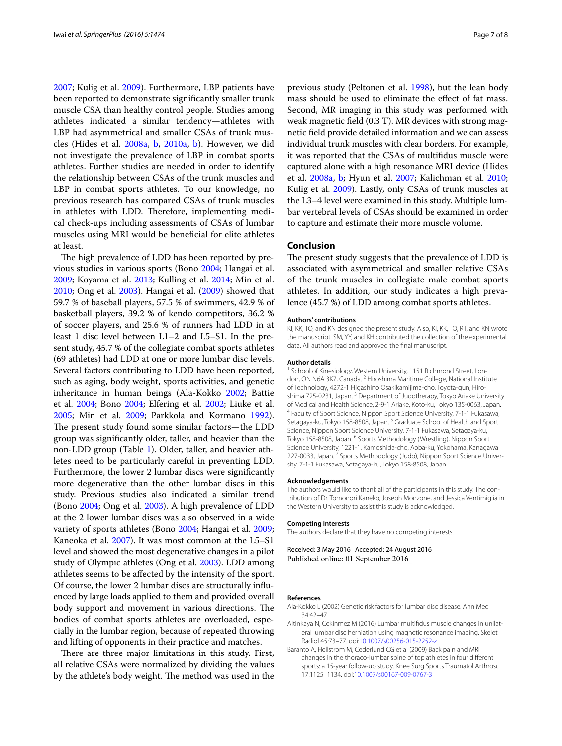[2007;](#page-7-24) Kulig et al. [2009](#page-7-25)). Furthermore, LBP patients have been reported to demonstrate significantly smaller trunk muscle CSA than healthy control people. Studies among athletes indicated a similar tendency—athletes with LBP had asymmetrical and smaller CSAs of trunk muscles (Hides et al. [2008a,](#page-7-31) [b,](#page-7-32) [2010a,](#page-7-33) [b\)](#page-7-34). However, we did not investigate the prevalence of LBP in combat sports athletes. Further studies are needed in order to identify the relationship between CSAs of the trunk muscles and LBP in combat sports athletes. To our knowledge, no previous research has compared CSAs of trunk muscles in athletes with LDD. Therefore, implementing medical check-ups including assessments of CSAs of lumbar muscles using MRI would be beneficial for elite athletes at least.

The high prevalence of LDD has been reported by previous studies in various sports (Bono [2004](#page-7-1); Hangai et al. [2009](#page-7-11); Koyama et al. [2013](#page-7-13); Kulling et al. [2014](#page-7-8); Min et al. [2010](#page-7-9); Ong et al. [2003](#page-7-14)). Hangai et al. ([2009\)](#page-7-11) showed that 59.7 % of baseball players, 57.5 % of swimmers, 42.9 % of basketball players, 39.2 % of kendo competitors, 36.2 % of soccer players, and 25.6 % of runners had LDD in at least 1 disc level between L1–2 and L5–S1. In the present study, 45.7 % of the collegiate combat sports athletes (69 athletes) had LDD at one or more lumbar disc levels. Several factors contributing to LDD have been reported, such as aging, body weight, sports activities, and genetic inheritance in human beings (Ala-Kokko [2002](#page-6-0); Battie et al. [2004;](#page-7-0) Bono [2004;](#page-7-1) Elfering et al. [2002](#page-7-3); Liuke et al. [2005](#page-7-4); Min et al. [2009](#page-7-38); Parkkola and Kormano [1992](#page-7-5)). The present study found some similar factors—the LDD group was significantly older, taller, and heavier than the non-LDD group (Table [1](#page-3-0)). Older, taller, and heavier athletes need to be particularly careful in preventing LDD. Furthermore, the lower 2 lumbar discs were significantly more degenerative than the other lumbar discs in this study. Previous studies also indicated a similar trend (Bono [2004](#page-7-1); Ong et al. [2003](#page-7-14)). A high prevalence of LDD at the 2 lower lumbar discs was also observed in a wide variety of sports athletes (Bono [2004;](#page-7-1) Hangai et al. [2009](#page-7-11); Kaneoka et al. [2007](#page-7-39)). It was most common at the L5–S1 level and showed the most degenerative changes in a pilot study of Olympic athletes (Ong et al. [2003](#page-7-14)). LDD among athletes seems to be affected by the intensity of the sport. Of course, the lower 2 lumbar discs are structurally influenced by large loads applied to them and provided overall body support and movement in various directions. The bodies of combat sports athletes are overloaded, especially in the lumbar region, because of repeated throwing and lifting of opponents in their practice and matches.

There are three major limitations in this study. First, all relative CSAs were normalized by dividing the values by the athlete's body weight. The method was used in the

previous study (Peltonen et al. [1998](#page-7-27)), but the lean body mass should be used to eliminate the effect of fat mass. Second, MR imaging in this study was performed with weak magnetic field (0.3 T). MR devices with strong magnetic field provide detailed information and we can assess individual trunk muscles with clear borders. For example, it was reported that the CSAs of multifidus muscle were captured alone with a high resonance MRI device (Hides et al. [2008a](#page-7-31), [b;](#page-7-32) Hyun et al. [2007](#page-7-24); Kalichman et al. [2010](#page-7-29); Kulig et al. [2009\)](#page-7-25). Lastly, only CSAs of trunk muscles at the L3–4 level were examined in this study. Multiple lumbar vertebral levels of CSAs should be examined in order to capture and estimate their more muscle volume.

# **Conclusion**

The present study suggests that the prevalence of LDD is associated with asymmetrical and smaller relative CSAs of the trunk muscles in collegiate male combat sports athletes. In addition, our study indicates a high prevalence (45.7 %) of LDD among combat sports athletes.

#### **Authors' contributions**

KI, KK, TO, and KN designed the present study. Also, KI, KK, TO, RT, and KN wrote the manuscript. SM, YY, and KH contributed the collection of the experimental data. All authors read and approved the final manuscript.

#### **Author details**

<sup>1</sup> School of Kinesiology, Western University, 1151 Richmond Street, London, ON N6A 3K7, Canada. <sup>2</sup> Hiroshima Maritime College, National Institute of Technology, 4272-1 Higashino Osakikamijima-cho, Toyota-gun, Hiroshima 725-0231, Japan. <sup>3</sup> Department of Judotherapy, Tokyo Ariake University of Medical and Health Science, 2-9-1 Ariake, Koto-ku, Tokyo 135-0063, Japan. <sup>4</sup> Faculty of Sport Science, Nippon Sport Science University, 7-1-1 Fukasawa, Setagaya-ku, Tokyo 158-8508, Japan.<sup>5</sup> Graduate School of Health and Sport Science, Nippon Sport Science University, 7-1-1 Fukasawa, Setagaya-ku, Tokyo 158-8508, Japan. <sup>6</sup> Sports Methodology (Wrestling), Nippon Sport Science University, 1221-1, Kamoshida-cho, Aoba-ku, Yokohama, Kanagawa 227-0033, Japan.<sup>7</sup> Sports Methodology (Judo), Nippon Sport Science University, 7-1-1 Fukasawa, Setagaya-ku, Tokyo 158-8508, Japan.

#### **Acknowledgements**

The authors would like to thank all of the participants in this study. The contribution of Dr. Tomonori Kaneko, Joseph Monzone, and Jessica Ventimiglia in the Western University to assist this study is acknowledged.

#### **Competing interests**

The authors declare that they have no competing interests.

Received: 3 May 2016 Accepted: 24 August 2016 Published online: 01 September 2016

#### **References**

- <span id="page-6-0"></span>Ala-Kokko L (2002) Genetic risk factors for lumbar disc disease. Ann Med 34:42–47
- <span id="page-6-2"></span>Altinkaya N, Cekinmez M (2016) Lumbar multifidus muscle changes in unilateral lumbar disc herniation using magnetic resonance imaging. Skelet Radiol 45:73–77. doi:[10.1007/s00256-015-2252-z](http://dx.doi.org/10.1007/s00256-015-2252-z)
- <span id="page-6-1"></span>Baranto A, Hellstrom M, Cederlund CG et al (2009) Back pain and MRI changes in the thoraco-lumbar spine of top athletes in four different sports: a 15-year follow-up study. Knee Surg Sports Traumatol Arthrosc 17:1125–1134. doi[:10.1007/s00167-009-0767-3](http://dx.doi.org/10.1007/s00167-009-0767-3)